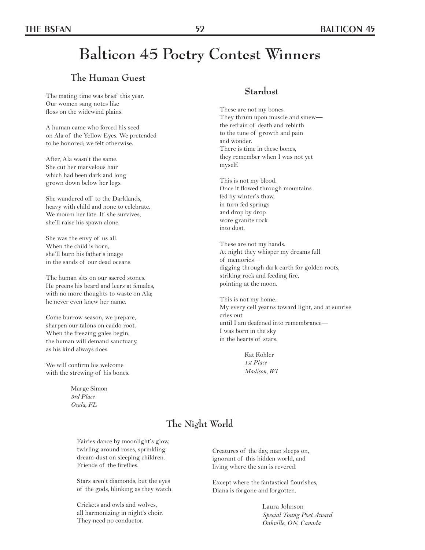# **Balticon 45 Poetry Contest Winners**

# **The Human Guest**

The mating time was brief this year. Our women sang notes like floss on the widewind plains.

A human came who forced his seed on Ala of the Yellow Eyes. We pretended to be honored; we felt otherwise.

After, Ala wasn't the same. She cut her marvelous hair which had been dark and long grown down below her legs.

She wandered off to the Darklands, heavy with child and none to celebrate. We mourn her fate. If she survives, she'll raise his spawn alone.

She was the envy of us all. When the child is born, she'll burn his father's image in the sands of our dead oceans.

The human sits on our sacred stones. He preens his beard and leers at females, with no more thoughts to waste on Ala; he never even knew her name.

Come burrow season, we prepare, sharpen our talons on caddo root. When the freezing gales begin, the human will demand sanctuary, as his kind always does.

We will confirm his welcome with the strewing of his bones.

> Marge Simon *3rd Place Ocala, FL*

#### **Stardust**

These are not my bones. They thrum upon muscle and sinew the refrain of death and rebirth to the tune of growth and pain and wonder. There is time in these bones, they remember when I was not yet myself.

This is not my blood. Once it flowed through mountains fed by winter's thaw, in turn fed springs and drop by drop wore granite rock into dust.

These are not my hands. At night they whisper my dreams full of memories digging through dark earth for golden roots, striking rock and feeding fire, pointing at the moon.

This is not my home. My every cell yearns toward light, and at sunrise cries out until I am deafened into remembrance— I was born in the sky in the hearts of stars.

> Kat Kohler *1st Place Madison, WI*

# **The Night World**

Fairies dance by moonlight's glow, twirling around roses, sprinkling dream-dust on sleeping children. Friends of the fireflies.

Stars aren't diamonds, but the eyes of the gods, blinking as they watch.

Crickets and owls and wolves, all harmonizing in night's choir. They need no conductor.

Creatures of the day, man sleeps on, ignorant of this hidden world, and living where the sun is revered.

Except where the fantastical flourishes, Diana is forgone and forgotten.

> Laura Johnson  *Special Young Poet Award Oakville, ON, Canada*